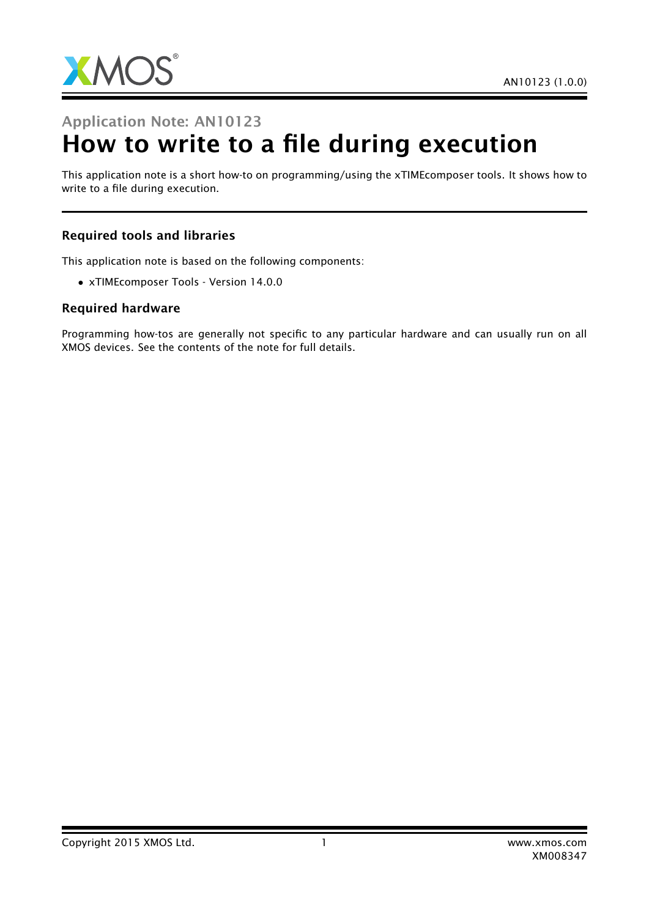

# Application Note: AN10123 How to write to a file during execution

This application note is a short how-to on programming/using the xTIMEcomposer tools. It shows how to write to a file during execution.

#### Required tools and libraries

This application note is based on the following components:

• xTIMEcomposer Tools - Version 14.0.0

#### Required hardware

Programming how-tos are generally not specific to any particular hardware and can usually run on all XMOS devices. See the contents of the note for full details.